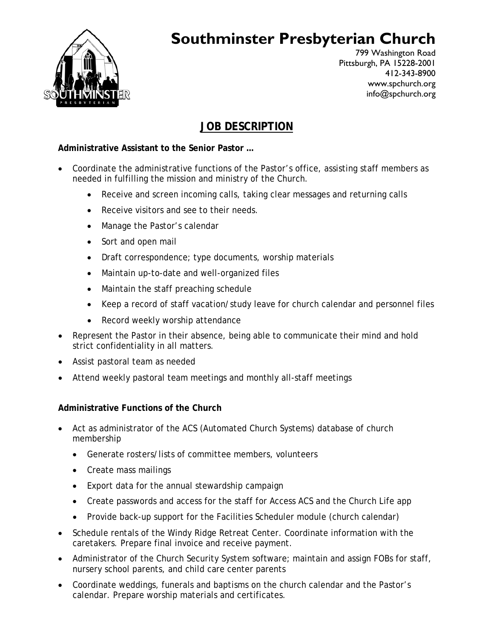

# **Southminster Presbyterian Church**

799 Washington Road Pittsburgh, PA 15228-2001 412-343-8900 www.spchurch.org info@spchurch.org

# **JOB DESCRIPTION**

## **Administrative Assistant to the Senior Pastor …**

- Coordinate the administrative functions of the Pastor's office, assisting staff members as needed in fulfilling the mission and ministry of the Church.
	- Receive and screen incoming calls, taking clear messages and returning calls
	- Receive visitors and see to their needs.
	- Manage the Pastor's calendar
	- Sort and open mail
	- Draft correspondence; type documents, worship materials
	- Maintain up-to-date and well-organized files
	- Maintain the staff preaching schedule
	- Keep a record of staff vacation/study leave for church calendar and personnel files
	- Record weekly worship attendance
- Represent the Pastor in their absence, being able to communicate their mind and hold strict confidentiality in all matters.
- Assist pastoral team as needed
- Attend weekly pastoral team meetings and monthly all-staff meetings

### **Administrative Functions of the Church**

- Act as administrator of the ACS (Automated Church Systems) database of church membership
	- Generate rosters/lists of committee members, volunteers
	- Create mass mailings
	- Export data for the annual stewardship campaign
	- Create passwords and access for the staff for Access ACS and the Church Life app
	- Provide back-up support for the Facilities Scheduler module (church calendar)
- Schedule rentals of the Windy Ridge Retreat Center. Coordinate information with the caretakers. Prepare final invoice and receive payment.
- Administrator of the Church Security System software; maintain and assign FOBs for staff, nursery school parents, and child care center parents
- Coordinate weddings, funerals and baptisms on the church calendar and the Pastor's calendar. Prepare worship materials and certificates.